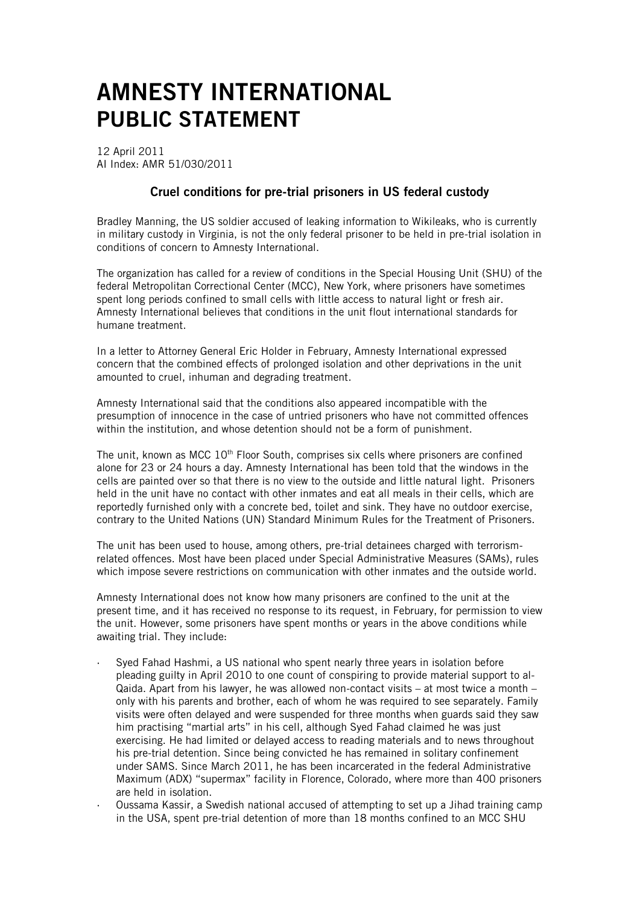## AMNESTY INTERNATIONAL PUBLIC STATEMENT

12 April 2011 AI Index: AMR 51/030/2011

## Cruel conditions for pre-trial prisoners in US federal custody

Bradley Manning, the US soldier accused of leaking information to Wikileaks, who is currently in military custody in Virginia, is not the only federal prisoner to be held in pre-trial isolation in conditions of concern to Amnesty International.

The organization has called for a review of conditions in the Special Housing Unit (SHU) of the federal Metropolitan Correctional Center (MCC), New York, where prisoners have sometimes spent long periods confined to small cells with little access to natural light or fresh air. Amnesty International believes that conditions in the unit flout international standards for humane treatment.

In a letter to Attorney General Eric Holder in February, Amnesty International expressed concern that the combined effects of prolonged isolation and other deprivations in the unit amounted to cruel, inhuman and degrading treatment.

Amnesty International said that the conditions also appeared incompatible with the presumption of innocence in the case of untried prisoners who have not committed offences within the institution, and whose detention should not be a form of punishment.

The unit, known as MCC 10<sup>th</sup> Floor South, comprises six cells where prisoners are confined alone for 23 or 24 hours a day. Amnesty International has been told that the windows in the cells are painted over so that there is no view to the outside and little natural light. Prisoners held in the unit have no contact with other inmates and eat all meals in their cells, which are reportedly furnished only with a concrete bed, toilet and sink. They have no outdoor exercise, contrary to the United Nations (UN) Standard Minimum Rules for the Treatment of Prisoners.

The unit has been used to house, among others, pre-trial detainees charged with terrorismrelated offences. Most have been placed under Special Administrative Measures (SAMs), rules which impose severe restrictions on communication with other inmates and the outside world.

Amnesty International does not know how many prisoners are confined to the unit at the present time, and it has received no response to its request, in February, for permission to view the unit. However, some prisoners have spent months or years in the above conditions while awaiting trial. They include:

- Syed Fahad Hashmi, a US national who spent nearly three years in isolation before pleading guilty in April 2010 to one count of conspiring to provide material support to al-Qaida. Apart from his lawyer, he was allowed non-contact visits – at most twice a month – only with his parents and brother, each of whom he was required to see separately. Family visits were often delayed and were suspended for three months when guards said they saw him practising "martial arts" in his cell, although Syed Fahad claimed he was just exercising. He had limited or delayed access to reading materials and to news throughout his pre-trial detention. Since being convicted he has remained in solitary confinement under SAMS. Since March 2011, he has been incarcerated in the federal Administrative Maximum (ADX) "supermax" facility in Florence, Colorado, where more than 400 prisoners are held in isolation.
- · Oussama Kassir, a Swedish national accused of attempting to set up a Jihad training camp in the USA, spent pre-trial detention of more than 18 months confined to an MCC SHU